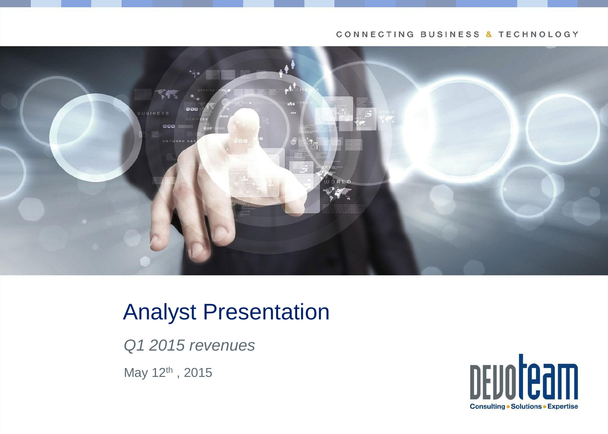#### CONNECTING BUSINESS & TECHNOLOGY



# Analyst Presentation

*Q1 2015 revenues*

May 12<sup>th</sup>, 2015

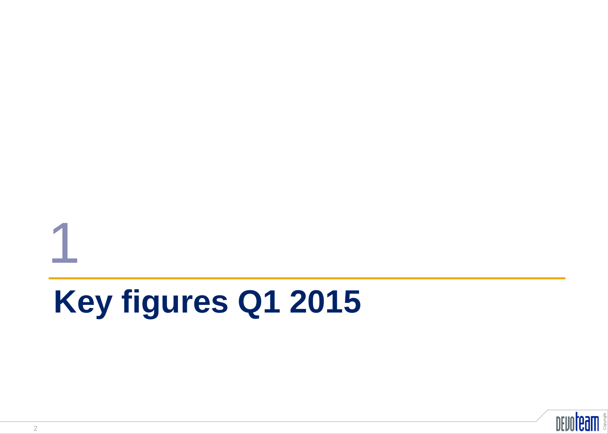# **Key figures Q1 2015**



1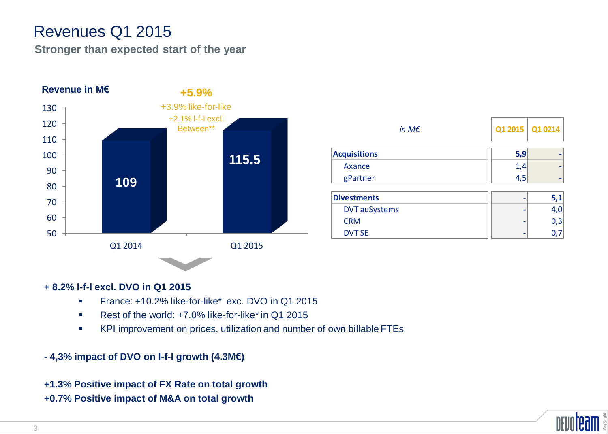# Revenues Q1 2015

**Stronger than expected start of the year**



| in M $\epsilon$      |     | Q1 2015   Q1 0214 |
|----------------------|-----|-------------------|
| <b>Acquisitions</b>  | 5,9 |                   |
| Axance               | 1,4 |                   |
| gPartner             | 4,5 |                   |
| <b>Divestments</b>   |     |                   |
| <b>DVT</b> auSystems |     |                   |
| <b>CRM</b>           |     | 0,3               |
| <b>DVT SE</b>        |     |                   |

#### **+ 8.2% l-f-l excl. DVO in Q1 2015**

- **France: +10.2% like-for-like\* exc. DVO in Q1 2015**
- Rest of the world: +7.0% like-for-like\* in Q1 2015
- KPI improvement on prices, utilization and number of own billable FTEs

#### **- 4,3% impact of DVO on l-f-l growth (4.3M€)**

**+1.3% Positive impact of FX Rate on total growth +0.7% Positive impact of M&A on total growth**

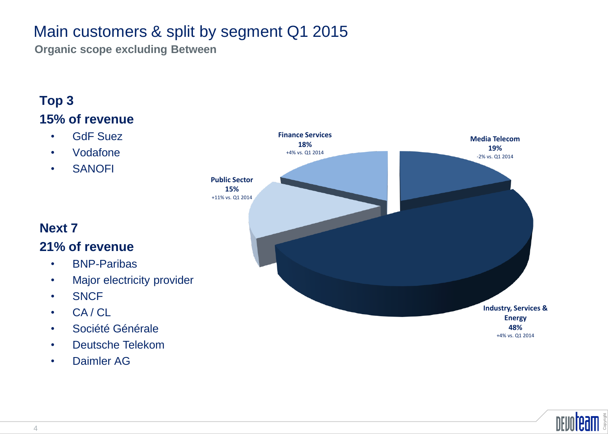# Main customers & split by segment Q1 2015

**Organic scope excluding Between**

#### **Top 3 15% of revenue**

- GdF Suez
- Vodafone
- SANOFI



#### **Next 7**

#### **21% of revenue**

- BNP-Paribas
- Major electricity provider
- SNCF
- CA / CL
- Société Générale
- Deutsche Telekom
- Daimler AG

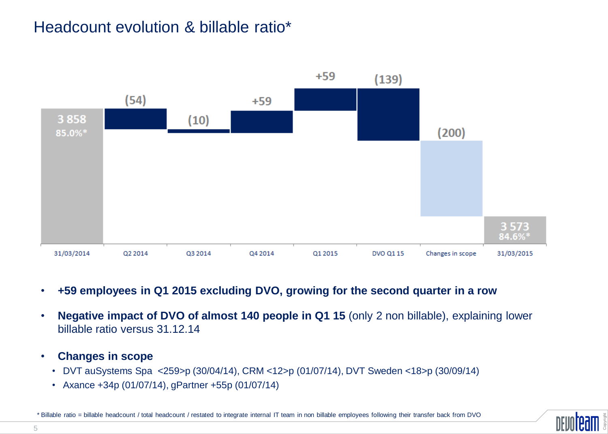# Headcount evolution & billable ratio\*



- **+59 employees in Q1 2015 excluding DVO, growing for the second quarter in a row**
- **Negative impact of DVO of almost 140 people in Q1 15** (only 2 non billable), explaining lower billable ratio versus 31.12.14
- **Changes in scope**
	- DVT auSystems Spa <259>p (30/04/14), CRM <12>p (01/07/14), DVT Sweden <18>p (30/09/14)
	- Axance +34p (01/07/14), gPartner +55p (01/07/14)

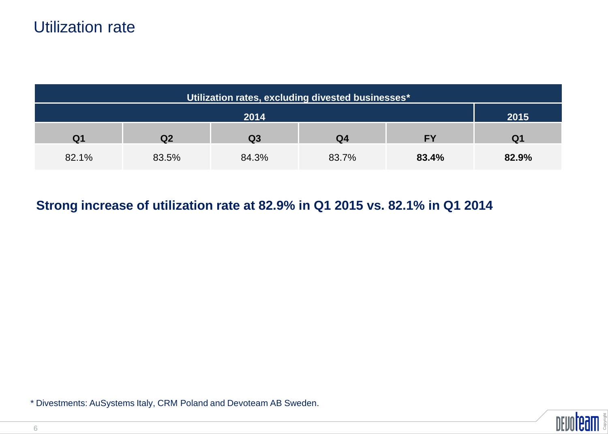| Utilization rates, excluding divested businesses* |                |                |                |           |                |
|---------------------------------------------------|----------------|----------------|----------------|-----------|----------------|
| 2014                                              |                |                | 2015           |           |                |
| Q <sub>1</sub>                                    | Q <sub>2</sub> | Q <sub>3</sub> | Q <sub>4</sub> | <b>FY</b> | Q <sub>1</sub> |
| 82.1%                                             | 83.5%          | 84.3%          | 83.7%          | 83.4%     | 82.9%          |

### **Strong increase of utilization rate at 82.9% in Q1 2015 vs. 82.1% in Q1 2014**

\* Divestments: AuSystems Italy, CRM Poland and Devoteam AB Sweden.

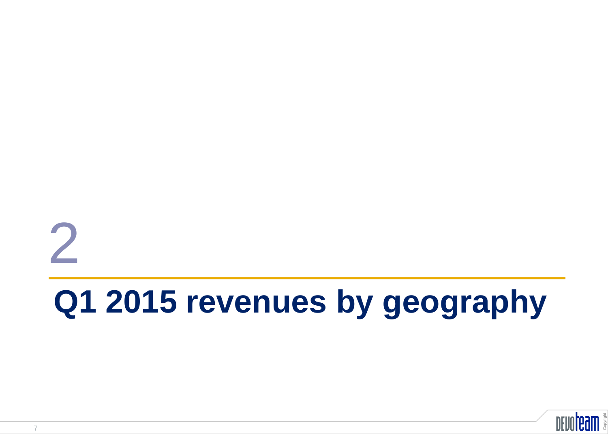# **Q1 2015 revenues by geography** 2

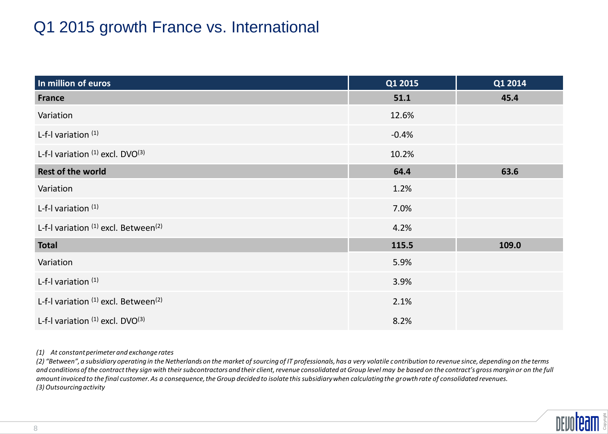# Q1 2015 growth France vs. International

| In million of euros                       | Q1 2015 | Q1 2014 |
|-------------------------------------------|---------|---------|
| <b>France</b>                             | 51.1    | 45.4    |
| Variation                                 | 12.6%   |         |
| L-f-I variation $(1)$                     | $-0.4%$ |         |
| L-f-I variation $(1)$ excl. DVO $(3)$     | 10.2%   |         |
| <b>Rest of the world</b>                  | 64.4    | 63.6    |
| Variation                                 | 1.2%    |         |
| L-f-I variation $(1)$                     | 7.0%    |         |
| L-f-I variation (1) excl. Between(2)      | 4.2%    |         |
| <b>Total</b>                              | 115.5   | 109.0   |
| Variation                                 | 5.9%    |         |
| L-f-I variation $(1)$                     | 3.9%    |         |
| L-f-I variation $(1)$ excl. Between $(2)$ | 2.1%    |         |
| L-f-I variation $(1)$ excl. DVO $(3)$     | 8.2%    |         |

#### *(1) At constant perimeter and exchange rates*

*(2) "Between", a subsidiary operating in the Netherlands on the market of sourcing of IT professionals, has a very volatile contribution to revenue since, depending on the terms*  and conditions of the contract they sign with their subcontractors and their client, revenue consolidated at Group level may be based on the contract's gross margin or on the full *amount invoiced to the final customer. As a consequence, the Group decided to isolate this subsidiary when calculating the growth rate of consolidated revenues. (3) Outsourcing activity*

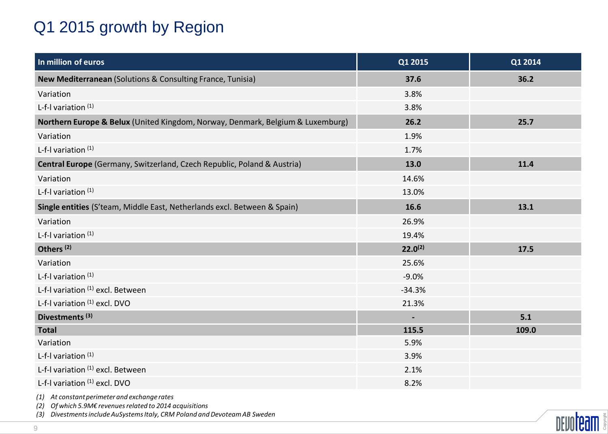# Q1 2015 growth by Region

| In million of euros                                                            | Q1 2015        | Q1 2014 |
|--------------------------------------------------------------------------------|----------------|---------|
| New Mediterranean (Solutions & Consulting France, Tunisia)                     | 37.6           | 36.2    |
| Variation                                                                      | 3.8%           |         |
| L-f-I variation $(1)$                                                          | 3.8%           |         |
| Northern Europe & Belux (United Kingdom, Norway, Denmark, Belgium & Luxemburg) | 26.2           | 25.7    |
| Variation                                                                      | 1.9%           |         |
| L-f-I variation $(1)$                                                          | 1.7%           |         |
| Central Europe (Germany, Switzerland, Czech Republic, Poland & Austria)        | 13.0           | 11.4    |
| Variation                                                                      | 14.6%          |         |
| L-f-I variation $(1)$                                                          | 13.0%          |         |
| Single entities (S'team, Middle East, Netherlands excl. Between & Spain)       | 16.6           | 13.1    |
| Variation                                                                      | 26.9%          |         |
| L-f-I variation (1)                                                            | 19.4%          |         |
| Others <sup>(2)</sup>                                                          | $22.0^{(2)}$   | 17.5    |
| Variation                                                                      | 25.6%          |         |
| L-f-I variation $(1)$                                                          | $-9.0%$        |         |
| L-f-I variation (1) excl. Between                                              | $-34.3%$       |         |
| L-f-I variation (1) excl. DVO                                                  | 21.3%          |         |
| Divestments <sup>(3)</sup>                                                     | $\blacksquare$ | 5.1     |
| <b>Total</b>                                                                   | 115.5          | 109.0   |
| Variation                                                                      | 5.9%           |         |
| L-f-I variation $(1)$                                                          | 3.9%           |         |
| L-f-I variation (1) excl. Between                                              | 2.1%           |         |
| L-f-I variation (1) excl. DVO                                                  | 8.2%           |         |

*(1) At constant perimeter and exchange rates*

*(2) Of which 5.9M€ revenues related to 2014 acquisitions*

*(3) Divestments include AuSystems Italy, CRM Poland and Devoteam AB Sweden*

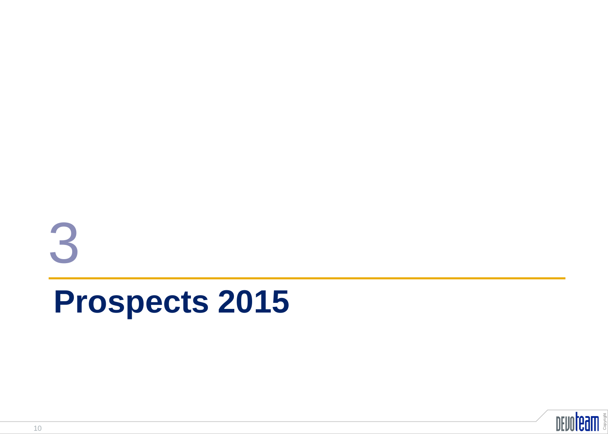# **Prospects 2015** 3

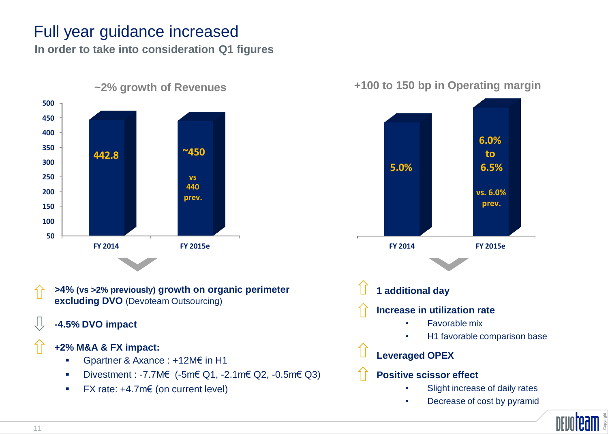# Full year guidance increased

**In order to take into consideration Q1 figures**



- **>4% (vs >2% previously) growth on organic perimeter excluding DVO** (Devoteam Outsourcing)
- **-4.5% DVO impact**

#### **+2% M&A & FX impact:**

- Gpartner & Axance : +12M€ in H1
- Divestment : -7.7M€ (-5m€ Q1, -2.1m€ Q2, -0.5m€ Q3)
- FX rate: +4.7m€ (on current level)

#### **+100 to 150 bp in Operating margin**



• Decrease of cost by pyramid

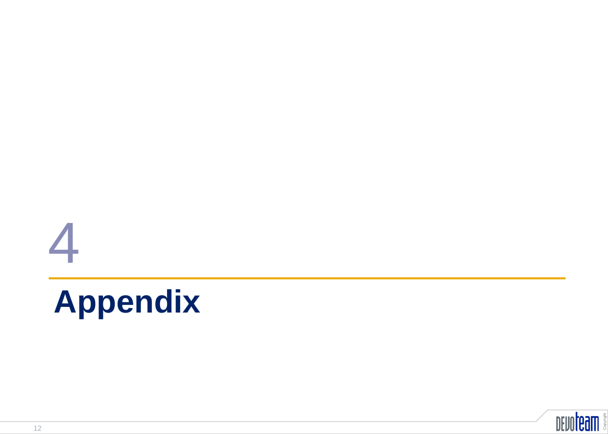# **4**<br>**Appendix**

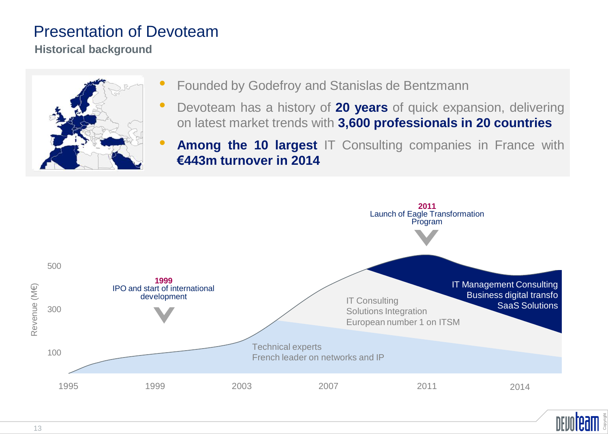## Presentation of Devoteam

**Historical background**



- Founded by Godefroy and Stanislas de Bentzmann
- Devoteam has <sup>a</sup> history of **<sup>20</sup> years** of quick expansion, delivering on latest market trends with **3,600 professionals in 20 countries**
- **Among the <sup>10</sup> largest** IT Consulting companies in France with **€443m turnover in 2014**